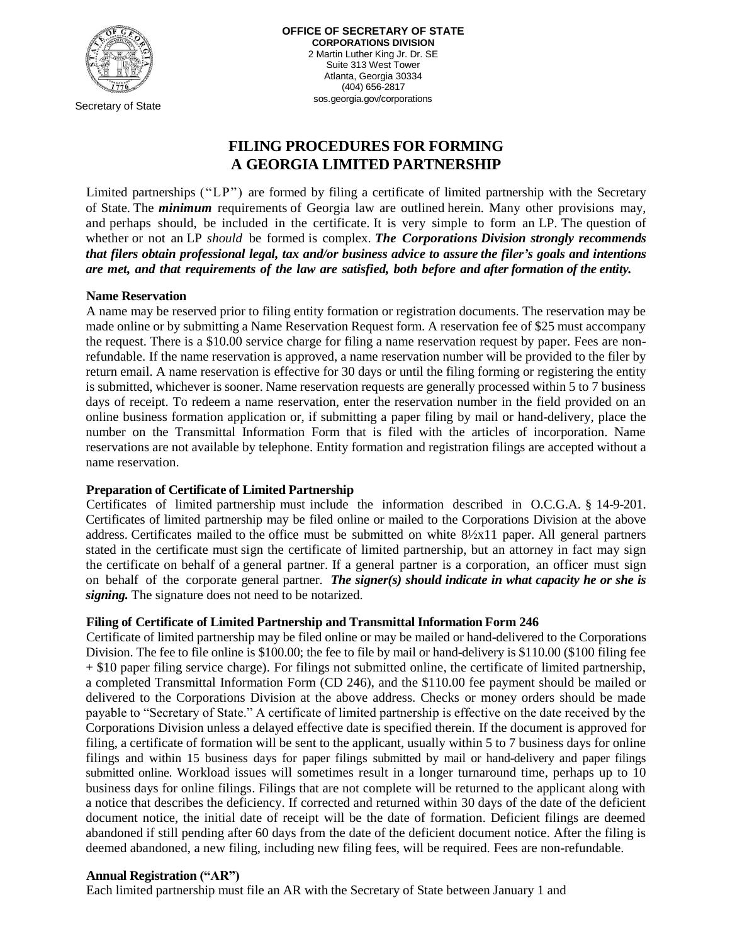

Secretary of State

# **FILING PROCEDURES FOR FORMING A GEORGIA LIMITED PARTNERSHIP**

Limited partnerships ("LP") are formed by filing a certificate of limited partnership with the Secretary of State. The *minimum* requirements of Georgia law are outlined herein. Many other provisions may, and perhaps should, be included in the certificate. It is very simple to form an LP. The question of whether or not an LP *should* be formed is complex. *The Corporations Division strongly recommends that filers obtain professional legal, tax and/or business advice to assure the filer's goals and intentions are met, and that requirements of the law are satisfied, both before and after formation of the entity.*

## **Name Reservation**

A name may be reserved prior to filing entity formation or registration documents. The reservation may be made online or by submitting a Name Reservation Request form. A reservation fee of \$25 must accompany the request. There is a \$10.00 service charge for filing a name reservation request by paper. Fees are nonrefundable. If the name reservation is approved, a name reservation number will be provided to the filer by return email. A name reservation is effective for 30 days or until the filing forming or registering the entity is submitted, whichever is sooner. Name reservation requests are generally processed within 5 to 7 business days of receipt. To redeem a name reservation, enter the reservation number in the field provided on an online business formation application or, if submitting a paper filing by mail or hand-delivery, place the number on the Transmittal Information Form that is filed with the articles of incorporation. Name reservations are not available by telephone. Entity formation and registration filings are accepted without a name reservation.

## **Preparation of Certificate of Limited Partnership**

Certificates of limited partnership must include the information described in O.C.G.A. § 14-9-201. Certificates of limited partnership may be filed online or mailed to the Corporations Division at the above address. Certificates mailed to the office must be submitted on white 8½x11 paper. All general partners stated in the certificate must sign the certificate of limited partnership, but an attorney in fact may sign the certificate on behalf of a general partner. If a general partner is a corporation, an officer must sign on behalf of the corporate general partner. *The signer(s) should indicate in what capacity he or she is signing.* The signature does not need to be notarized.

## **Filing of Certificate of Limited Partnership and Transmittal Information Form 246**

Certificate of limited partnership may be filed online or may be mailed or hand-delivered to the Corporations Division. The fee to file online is \$100.00; the fee to file by mail or hand-delivery is \$110.00 (\$100 filing fee + \$10 paper filing service charge). For filings not submitted online, the certificate of limited partnership, a completed Transmittal Information Form (CD 246), and the \$110.00 fee payment should be mailed or delivered to the Corporations Division at the above address. Checks or money orders should be made payable to "Secretary of State." A certificate of limited partnership is effective on the date received by the Corporations Division unless a delayed effective date is specified therein. If the document is approved for filing, a certificate of formation will be sent to the applicant, usually within 5 to 7 business days for online filings and within 15 business days for paper filings submitted by mail or hand-delivery and paper filings submitted online. Workload issues will sometimes result in a longer turnaround time, perhaps up to 10 business days for online filings. Filings that are not complete will be returned to the applicant along with a notice that describes the deficiency. If corrected and returned within 30 days of the date of the deficient document notice, the initial date of receipt will be the date of formation. Deficient filings are deemed abandoned if still pending after 60 days from the date of the deficient document notice. After the filing is deemed abandoned, a new filing, including new filing fees, will be required. Fees are non-refundable.

## **Annual Registration ("AR")**

Each limited partnership must file an AR with the Secretary of State between January 1 and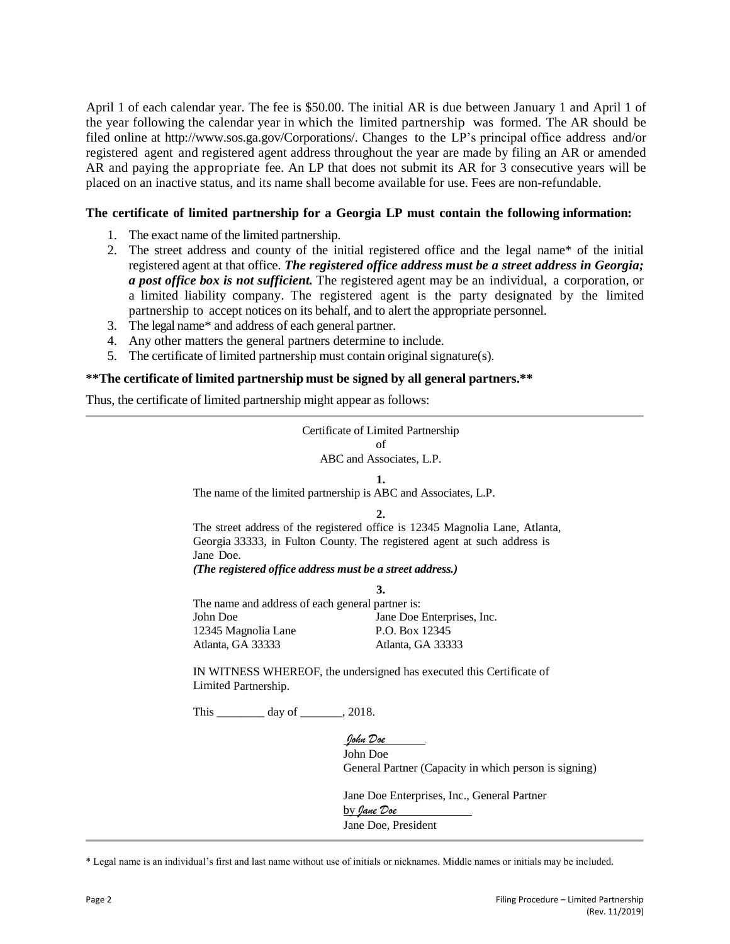April 1 of each calendar year. The fee is \$50.00. The initial AR is due between January 1 and April 1 of the year following the calendar year in which the limited partnership was formed. The AR should be filed online at http://www.sos.ga.gov/Corporations/. Changes to the LP's principal office address and/or registered agent and registered agent address throughout the year are made by filing an AR or amended AR and paying the appropriate fee. An LP that does not submit its AR for 3 consecutive years will be placed on an inactive status, and its name shall become available for use. Fees are non-refundable.

## **The certificate of limited partnership for a Georgia LP must contain the following information:**

- 1. The exact name of the limited partnership.
- 2. The street address and county of the initial registered office and the legal name\* of the initial registered agent at that office. *The registered office address must be a street address in Georgia; a post office box is not sufficient.* The registered agent may be an individual, a corporation, or a limited liability company. The registered agent is the party designated by the limited partnership to accept notices on its behalf, and to alert the appropriate personnel.
- 3. The legal name\* and address of each general partner.
- 4. Any other matters the general partners determine to include.
- 5. The certificate of limited partnership must contain original signature(s).

## **\*\*The certificate of limited partnership must be signed by all general partners.\*\***

Thus, the certificate of limited partnership might appear as follows:

| Certificate of Limited Partnership                                           |                                                                          |
|------------------------------------------------------------------------------|--------------------------------------------------------------------------|
| of                                                                           |                                                                          |
| ABC and Associates, L.P.                                                     |                                                                          |
| 1.                                                                           |                                                                          |
| The name of the limited partnership is ABC and Associates, L.P.              |                                                                          |
|                                                                              | $\overline{2}$ .                                                         |
| The street address of the registered office is 12345 Magnolia Lane, Atlanta, |                                                                          |
| Jane Doe.                                                                    | Georgia 33333, in Fulton County. The registered agent at such address is |
| (The registered office address must be a street address.)                    |                                                                          |
|                                                                              | 3.                                                                       |
| The name and address of each general partner is:                             |                                                                          |
| John Doe                                                                     | Jane Doe Enterprises, Inc.                                               |
| 12345 Magnolia Lane                                                          | P.O. Box 12345                                                           |
| Atlanta, GA 33333                                                            | Atlanta, GA 33333                                                        |
|                                                                              |                                                                          |
| IN WITNESS WHEREOF, the undersigned has executed this Certificate of         |                                                                          |
| Limited Partnership.                                                         |                                                                          |
| This ___________ day of ________, 2018.                                      |                                                                          |
|                                                                              | John Doe                                                                 |
|                                                                              |                                                                          |
|                                                                              | John Doe                                                                 |
|                                                                              | General Partner (Capacity in which person is signing)                    |
|                                                                              | Jane Doe Enterprises, Inc., General Partner                              |
|                                                                              | <u>by Jane Doe</u>                                                       |
|                                                                              | Jane Doe, President                                                      |

\* Legal name is an individual's first and last name without use of initials or nicknames. Middle names or initials may be included.